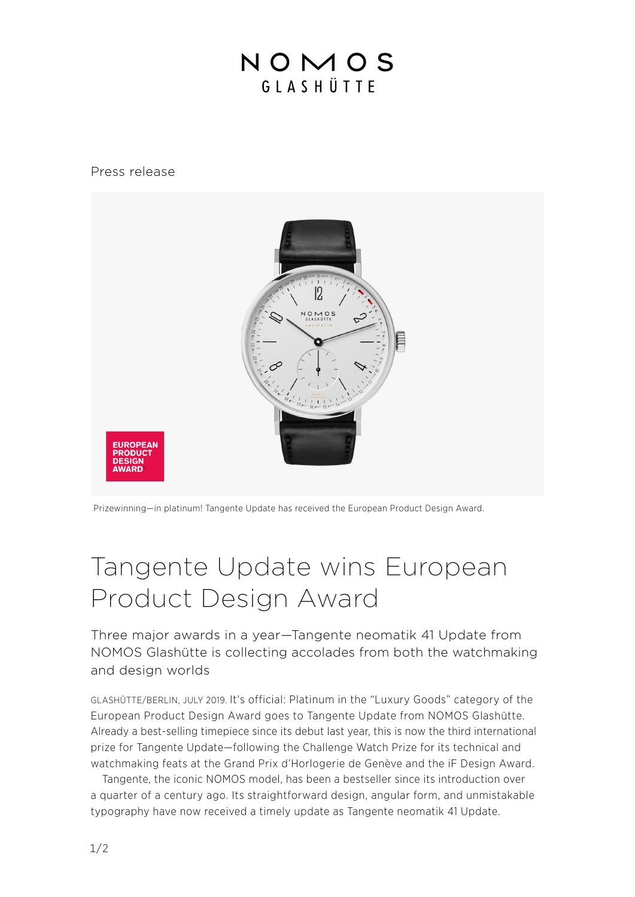## NOMOS GIASHÜTTE

## Press release



Prizewinning—in platinum! Tangente Update has received the European Product Design Award.

## Tangente Update wins European Product Design Award

Three major awards in a year—Tangente neomatik 41 Update from NOMOS Glashütte is collecting accolades from both the watchmaking and design worlds

GLASHÜTTE/BERLIN, JULY 2019. It's official: Platinum in the "Luxury Goods" category of the European Product Design Award goes to Tangente Update from NOMOS Glashütte. Already a best-selling timepiece since its debut last year, this is now the third international prize for Tangente Update—following the Challenge Watch Prize for its technical and watchmaking feats at the Grand Prix d'Horlogerie de Genève and the iF Design Award.

Tangente, the iconic NOMOS model, has been a bestseller since its introduction over a quarter of a century ago. Its straightforward design, angular form, and unmistakable typography have now received a timely update as Tangente neomatik 41 Update.